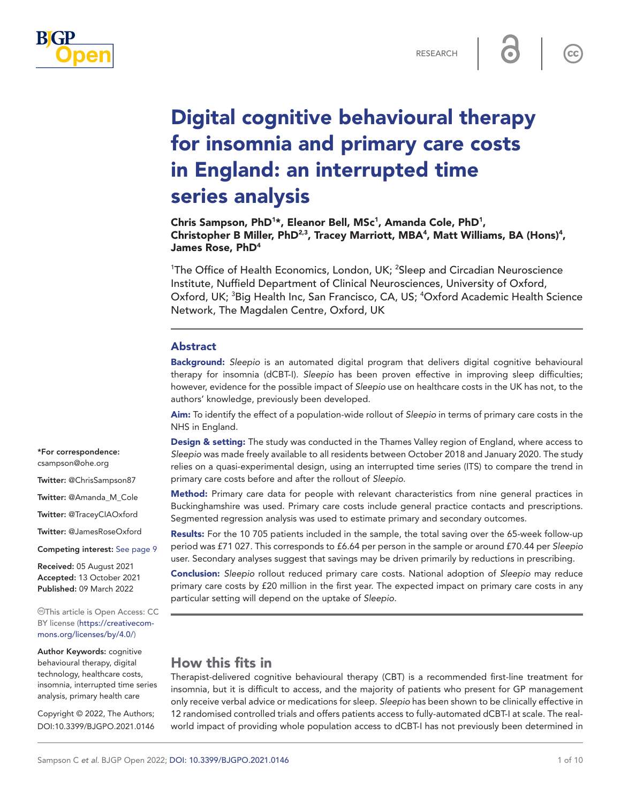

 $cc$ 

# Digital cognitive behavioural therapy for insomnia and primary care costs in England: an interrupted time series analysis

Chris Sampson, PhD<sup>1</sup>\*, Eleanor Bell, MSc<sup>1</sup>, Amanda Cole, PhD<sup>1</sup>, Christopher B Miller, PhD<sup>2,3</sup>, Tracey Marriott, MBA<sup>4</sup>, Matt Williams, BA (Hons)<sup>4</sup>, James Rose, PhD4

<sup>1</sup>The Office of Health Economics, London, UK; <sup>2</sup>Sleep and Circadian Neuroscience Institute, Nuffield Department of Clinical Neurosciences, University of Oxford, Oxford, UK; <sup>3</sup>Big Health Inc, San Francisco, CA, US; <sup>4</sup>Oxford Academic Health Science Network, The Magdalen Centre, Oxford, UK

## Abstract

Background: *Sleepio* is an automated digital program that delivers digital cognitive behavioural therapy for insomnia (dCBT-I). *Sleepio* has been proven effective in improving sleep difficulties; however, evidence for the possible impact of *Sleepio* use on healthcare costs in the UK has not, to the authors' knowledge, previously been developed.

Aim: To identify the effect of a population-wide rollout of *Sleepio* in terms of primary care costs in the NHS in England.

Design & setting: The study was conducted in the Thames Valley region of England, where access to *Sleepio* was made freely available to all residents between October 2018 and January 2020. The study relies on a quasi-experimental design, using an interrupted time series (ITS) to compare the trend in primary care costs before and after the rollout of *Sleepio*.

Method: Primary care data for people with relevant characteristics from nine general practices in Buckinghamshire was used. Primary care costs include general practice contacts and prescriptions. Segmented regression analysis was used to estimate primary and secondary outcomes.

Results: For the 10 705 patients included in the sample, the total saving over the 65-week follow-up period was £71 027. This corresponds to £6.64 per person in the sample or around £70.44 per *Sleepio* user. Secondary analyses suggest that savings may be driven primarily by reductions in prescribing.

Conclusion: *Sleepio* rollout reduced primary care costs. National adoption of *Sleepio* may reduce primary care costs by £20 million in the first year. The expected impact on primary care costs in any particular setting will depend on the uptake of *Sleepio*.

# How this fits in

Therapist-delivered cognitive behavioural therapy (CBT) is a recommended first-line treatment for insomnia, but it is difficult to access, and the majority of patients who present for GP management only receive verbal advice or medications for sleep. *Sleepio* has been shown to be clinically effective in 12 randomised controlled trials and offers patients access to fully-automated dCBT-I at scale. The realworld impact of providing whole population access to dCBT-I has not previously been determined in

\*For correspondence: [csampson@ohe.org](mailto:csampson@ohe.org) Twitter: @ChrisSampson87 Twitter: @Amanda\_M\_Cole Twitter: @TraceyCIAOxford Twitter: @JamesRoseOxford Competing interest: [See page 9](#page-8-0) Received: 05 August 2021

Accepted: 13 October 2021 Published: 09 March 2022

This article is Open Access: CC BY license [\(https://creativecom](https://creativecommons.org/licenses/by/4.0/)[mons.org/licenses/by/4.0/\)](https://creativecommons.org/licenses/by/4.0/)

Author Keywords: cognitive behavioural therapy, digital technology, healthcare costs, insomnia, interrupted time series analysis, primary health care

Copyright © 2022, The Authors; DOI:10.3399/BJGPO.2021.0146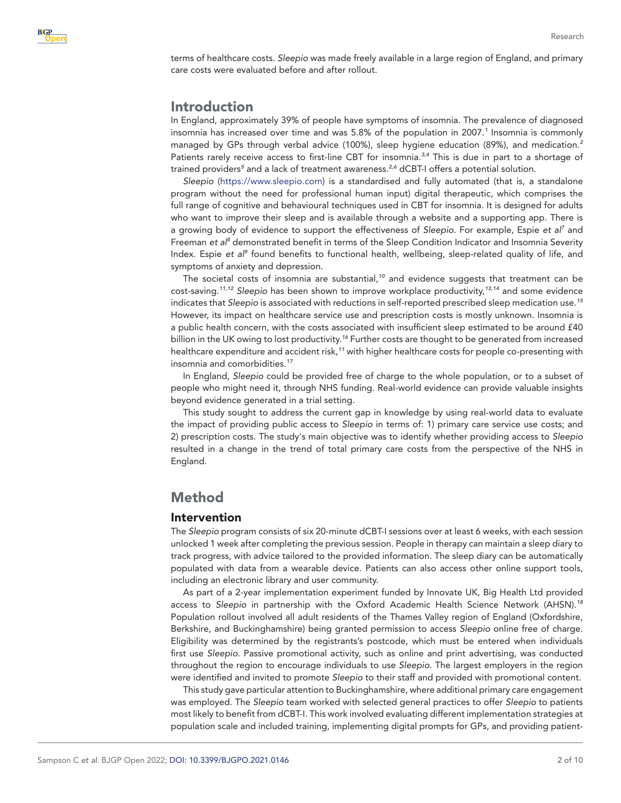terms of healthcare costs. *Sleepio* was made freely available in a large region of England, and primary care costs were evaluated before and after rollout.

# Introduction

In England, approximately 39% of people have symptoms of insomnia. The prevalence of diagnosed insomnia has increased over time and was 5.8% of the population in 2007.*[1](#page-8-1)* Insomnia is commonly managed by GPs through verbal advice (100%), sleep hygiene education (89%), and medication.*[2](#page-8-2)* Patients rarely receive access to first-line CBT for insomnia.*[3,4](#page-8-3)* This is due in part to a shortage of trained providers<sup>[5](#page-9-0)</sup> and a lack of treatment awareness.<sup>[2,6](#page-8-2)</sup> dCBT-I offers a potential solution.

*Sleepio* [\(https://www.sleepio.com\)](https://www.sleepio.com/) is a standardised and fully automated (that is, a standalone program without the need for professional human input) digital therapeutic, which comprises the full range of cognitive and behavioural techniques used in CBT for insomnia. It is designed for adults who want to improve their sleep and is available through a website and a supporting app. There is a growing body of evidence to support the effectiveness of *Sleepio*. For example, Espie *et al[7](#page-9-1)* and Freeman *et al<sup>[8](#page-9-2)</sup> demonstrated benefit in terms of the Sleep Condition Indicator and Insomnia Severity* Index. Espie et al<sup>[9](#page-9-3)</sup> found benefits to functional health, wellbeing, sleep-related quality of life, and symptoms of anxiety and depression.

The societal costs of insomnia are substantial,*[10](#page-9-4)* and evidence suggests that treatment can be cost-saving.*[11,12](#page-9-5) Sleepio* has been shown to improve workplace productivity,*[13,14](#page-9-6)* and some evidence indicates that *Sleepio* is associated with reductions in self-reported prescribed sleep medication use.*[15](#page-9-7)* However, its impact on healthcare service use and prescription costs is mostly unknown. Insomnia is a public health concern, with the costs associated with insufficient sleep estimated to be around £40 billion in the UK owing to lost productivity.*[16](#page-9-8)* Further costs are thought to be generated from increased healthcare expenditure and accident risk,*[11](#page-9-5)* with higher healthcare costs for people co-presenting with insomnia and comorbidities.*[17](#page-9-9)*

In England, *Sleepio* could be provided free of charge to the whole population, or to a subset of people who might need it, through NHS funding. Real-world evidence can provide valuable insights beyond evidence generated in a trial setting.

This study sought to address the current gap in knowledge by using real-world data to evaluate the impact of providing public access to *Sleepio* in terms of: 1) primary care service use costs; and 2) prescription costs. The study's main objective was to identify whether providing access to *Sleepio* resulted in a change in the trend of total primary care costs from the perspective of the NHS in England.

# Method

## Intervention

The *Sleepio* program consists of six 20-minute dCBT-I sessions over at least 6 weeks, with each session unlocked 1 week after completing the previous session. People in therapy can maintain a sleep diary to track progress, with advice tailored to the provided information. The sleep diary can be automatically populated with data from a wearable device. Patients can also access other online support tools, including an electronic library and user community.

As part of a 2-year implementation experiment funded by Innovate UK, Big Health Ltd provided access to *Sleepio* in partnership with the Oxford Academic Health Science Network (AHSN).*[18](#page-9-10)* Population rollout involved all adult residents of the Thames Valley region of England (Oxfordshire, Berkshire, and Buckinghamshire) being granted permission to access *Sleepio* online free of charge. Eligibility was determined by the registrants's postcode, which must be entered when individuals first use *Sleepio*. Passive promotional activity, such as online and print advertising, was conducted throughout the region to encourage individuals to use *Sleepio*. The largest employers in the region were identified and invited to promote *Sleepio* to their staff and provided with promotional content.

This study gave particular attention to Buckinghamshire, where additional primary care engagement was employed. The *Sleepio* team worked with selected general practices to offer *Sleepio* to patients most likely to benefit from dCBT-I. This work involved evaluating different implementation strategies at population scale and included training, implementing digital prompts for GPs, and providing patient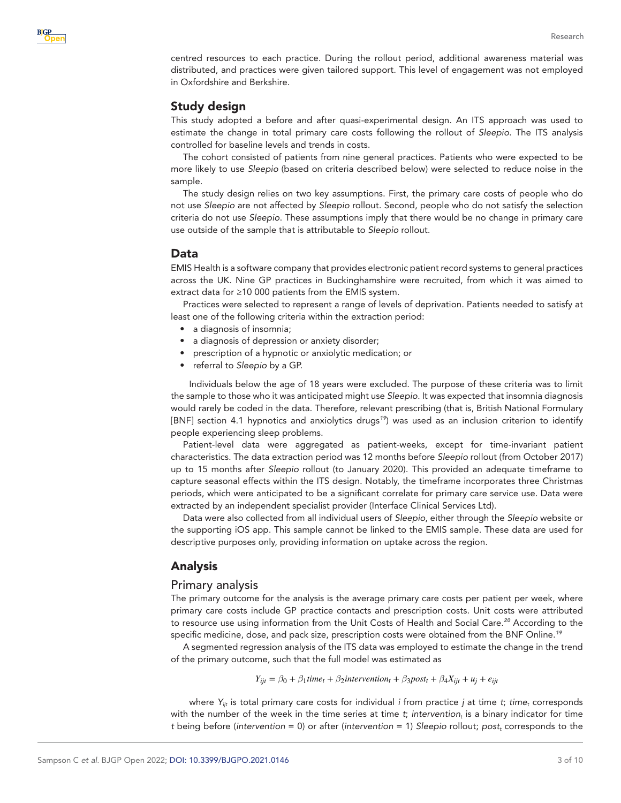centred resources to each practice. During the rollout period, additional awareness material was distributed, and practices were given tailored support. This level of engagement was not employed in Oxfordshire and Berkshire.

## Study design

This study adopted a before and after quasi-experimental design. An ITS approach was used to estimate the change in total primary care costs following the rollout of *Sleepio*. The ITS analysis controlled for baseline levels and trends in costs.

The cohort consisted of patients from nine general practices. Patients who were expected to be more likely to use *Sleepio* (based on criteria described below) were selected to reduce noise in the sample.

The study design relies on two key assumptions. First, the primary care costs of people who do not use *Sleepio* are not affected by *Sleepio* rollout. Second, people who do not satisfy the selection criteria do not use *Sleepio*. These assumptions imply that there would be no change in primary care use outside of the sample that is attributable to *Sleepio* rollout.

## Data

EMIS Health is a software company that provides electronic patient record systems to general practices across the UK. Nine GP practices in Buckinghamshire were recruited, from which it was aimed to extract data for ≥10 000 patients from the EMIS system.

Practices were selected to represent a range of levels of deprivation. Patients needed to satisfy at least one of the following criteria within the extraction period:

- a diagnosis of insomnia;
- a diagnosis of depression or anxiety disorder;
- prescription of a hypnotic or anxiolytic medication; or
- referral to *Sleepio* by a GP.

Individuals below the age of 18 years were excluded. The purpose of these criteria was to limit the sample to those who it was anticipated might use *Sleepio*. It was expected that insomnia diagnosis would rarely be coded in the data. Therefore, relevant prescribing (that is, British National Formulary [BNF] section 4.1 hypnotics and anxiolytics drugs*[19](#page-9-11)*) was used as an inclusion criterion to identify people experiencing sleep problems.

Patient-level data were aggregated as patient-weeks, except for time-invariant patient characteristics. The data extraction period was 12 months before *Sleepio* rollout (from October 2017) up to 15 months after *Sleepio* rollout (to January 2020). This provided an adequate timeframe to capture seasonal effects within the ITS design. Notably, the timeframe incorporates three Christmas periods, which were anticipated to be a significant correlate for primary care service use. Data were extracted by an independent specialist provider (Interface Clinical Services Ltd).

Data were also collected from all individual users of *Sleepio*, either through the *Sleepio* website or the supporting iOS app. This sample cannot be linked to the EMIS sample. These data are used for descriptive purposes only, providing information on uptake across the region.

# Analysis

## Primary analysis

The primary outcome for the analysis is the average primary care costs per patient per week, where primary care costs include GP practice contacts and prescription costs. Unit costs were attributed to resource use using information from the Unit Costs of Health and Social Care.*[20](#page-9-12)* According to the specific medicine, dose, and pack size, prescription costs were obtained from the BNF Online.*[19](#page-9-11)*

A segmented regression analysis of the ITS data was employed to estimate the change in the trend of the primary outcome, such that the full model was estimated as

$$
Y_{ijt} = \beta_0 + \beta_1 time_t + \beta_2 intervention_t + \beta_3 post_t + \beta_4 X_{ijt} + u_j + e_{ijt}
$$

where  $Y_{ijt}$  is total primary care costs for individual *i* from practice *j* at time *t*; *time<sub>t</sub>* corresponds with the number of the week in the time series at time *t*; *intervention*<sub>t</sub> is a binary indicator for time *t* being before (*intervention* = 0) or after (*intervention* = 1) *Sleepio* rollout; *postt* corresponds to the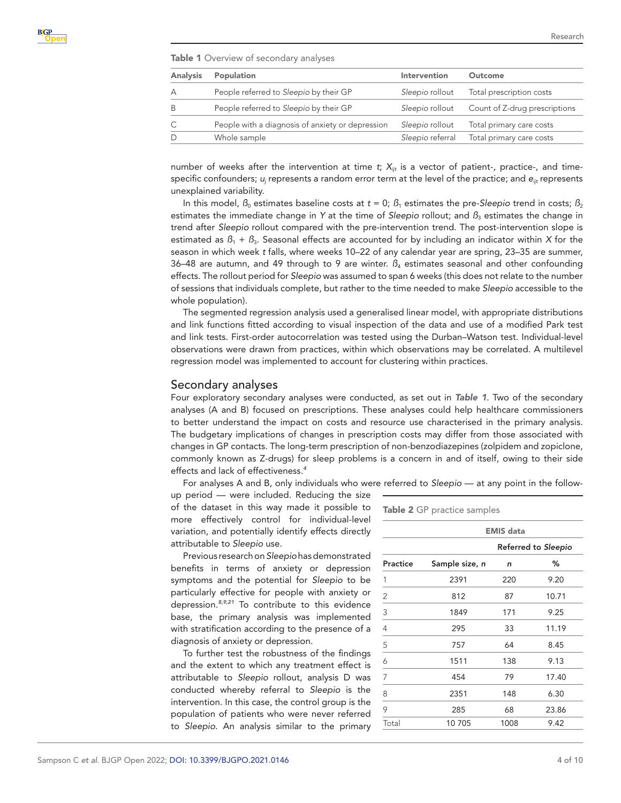<span id="page-3-0"></span>Table 1 Overview of secondary analyses

| <b>Analysis</b> | Population                                       | Intervention     | Outcome                       |
|-----------------|--------------------------------------------------|------------------|-------------------------------|
|                 | People referred to Sleepio by their GP           | Sleepio rollout  | Total prescription costs      |
|                 | People referred to Sleepio by their GP           | Sleepio rollout  | Count of Z-drug prescriptions |
|                 | People with a diagnosis of anxiety or depression | Sleepio rollout  | Total primary care costs      |
|                 | Whole sample                                     | Sleepio referral | Total primary care costs      |

number of weeks after the intervention at time *t*;  $X_{ijt}$  is a vector of patient-, practice-, and timespecific confounders;  $u_j$  represents a random error term at the level of the practice; and  $e_{\it ijt}$  represents unexplained variability.

In this model,  $\beta_0$  estimates baseline costs at  $t = 0$ ;  $\beta_1$  estimates the pre-*Sleepio* trend in costs;  $\beta_2$ estimates the immediate change in *Y* at the time of *Sleepio* rollout; and  $\beta_3$  estimates the change in trend after *Sleepio* rollout compared with the pre-intervention trend. The post-intervention slope is estimated as *ß*1 + *ß*3. Seasonal effects are accounted for by including an indicator within *X* for the season in which week *t* falls, where weeks 10–22 of any calendar year are spring, 23–35 are summer, 36–48 are autumn, and 49 through to 9 are winter.  $B_4$  estimates seasonal and other confounding effects. The rollout period for *Sleepio* was assumed to span 6 weeks (this does not relate to the number of sessions that individuals complete, but rather to the time needed to make *Sleepio* accessible to the whole population).

The segmented regression analysis used a generalised linear model, with appropriate distributions and link functions fitted according to visual inspection of the data and use of a modified Park test and link tests. First-order autocorrelation was tested using the Durban–Watson test. Individual-level observations were drawn from practices, within which observations may be correlated. A multilevel regression model was implemented to account for clustering within practices.

#### Secondary analyses

Four exploratory secondary analyses were conducted, as set out in *[Table 1](#page-3-0)*. Two of the secondary analyses (A and B) focused on prescriptions. These analyses could help healthcare commissioners to better understand the impact on costs and resource use characterised in the primary analysis. The budgetary implications of changes in prescription costs may differ from those associated with changes in GP contacts. The long-term prescription of non-benzodiazepines (zolpidem and zopiclone, commonly known as Z-drugs) for sleep problems is a concern in and of itself, owing to their side effects and lack of effectiveness.*[4](#page-8-4)*

For analyses A and B, only individuals who were referred to *Sleepio* — at any point in the follow-

up period — were included. Reducing the size of the dataset in this way made it possible to more effectively control for individual-level variation, and potentially identify effects directly attributable to *Sleepio* use.

Previous research on *Sleepio* has demonstrated benefits in terms of anxiety or depression symptoms and the potential for *Sleepio* to be particularly effective for people with anxiety or depression.*[8,9,21](#page-9-2)* To contribute to this evidence base, the primary analysis was implemented with stratification according to the presence of a diagnosis of anxiety or depression.

To further test the robustness of the findings and the extent to which any treatment effect is attributable to *Sleepio* rollout, analysis D was conducted whereby referral to *Sleepio* is the intervention. In this case, the control group is the population of patients who were never referred to *Sleepio*. An analysis similar to the primary

<span id="page-3-1"></span>

|                | <b>EMIS</b> data |                     |       |  |
|----------------|------------------|---------------------|-------|--|
|                |                  | Referred to Sleepio |       |  |
| Practice       | Sample size, n   | n                   | ℅     |  |
| 1              | 2391             | 220                 | 9.20  |  |
| 2              | 812              | 87                  | 10.71 |  |
| 3              | 1849             | 171                 | 9.25  |  |
| $\overline{4}$ | 295              | 33                  | 11.19 |  |
| 5              | 757              | 64                  | 8.45  |  |
| 6              | 1511             | 138                 | 9.13  |  |
| 7              | 454              | 79                  | 17.40 |  |
| 8              | 2351             | 148                 | 6.30  |  |
| 9              | 285              | 68                  | 23.86 |  |
| Total          | 10705            | 1008                | 9.42  |  |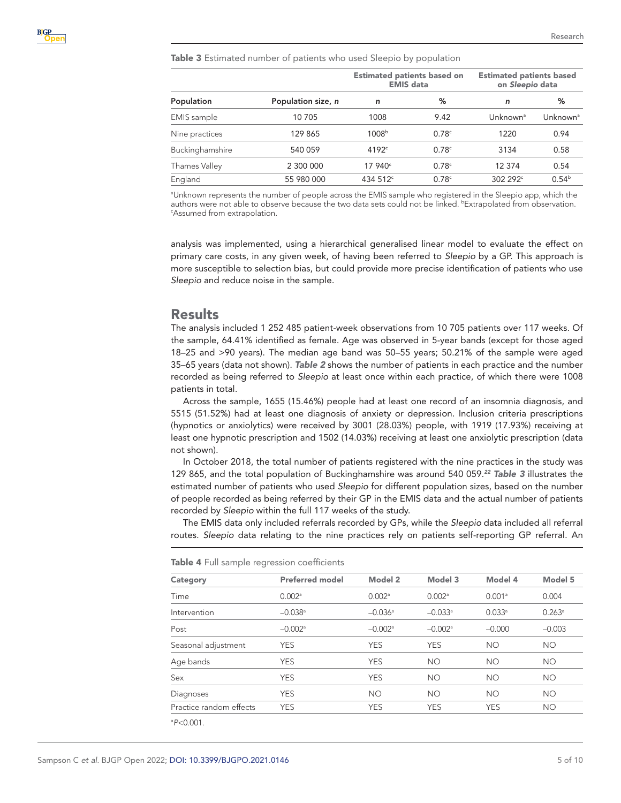<span id="page-4-0"></span>Table 3 Estimated number of patients who used Sleepio by population

|                    | Population size, n | <b>Estimated patients based on</b><br><b>EMIS</b> data |                   | <b>Estimated patients based</b><br>on Sleepio data |            |
|--------------------|--------------------|--------------------------------------------------------|-------------------|----------------------------------------------------|------------|
| Population         |                    | n                                                      | %                 | n                                                  | %          |
| <b>EMIS</b> sample | 10 705             | 1008                                                   | 9.42              | Unknown <sup>a</sup>                               | Unknownª   |
| Nine practices     | 129 865            | 1008 <sup>b</sup>                                      | 0.78 <sup>c</sup> | 1220                                               | 0.94       |
| Buckinghamshire    | 540 059            | 4192c                                                  | 0.78 <sup>c</sup> | 3134                                               | 0.58       |
| Thames Valley      | 2 300 000          | 17.940c                                                | 0.78 <sup>c</sup> | 12 374                                             | 0.54       |
| England            | 55 980 000         | 434 512 <sup>c</sup>                                   | 0.78 <sup>c</sup> | $302292^{\circ}$                                   | $0.54^{b}$ |

a Unknown represents the number of people across the EMIS sample who registered in the Sleepio app, which the authors were not able to observe because the two data sets could not be linked. **Extrapolated from observation.**<br>Mesumed from extrapolation Assumed from extrapolation.

analysis was implemented, using a hierarchical generalised linear model to evaluate the effect on primary care costs, in any given week, of having been referred to *Sleepio* by a GP. This approach is more susceptible to selection bias, but could provide more precise identification of patients who use *Sleepio* and reduce noise in the sample.

## Results

The analysis included 1 252 485 patient-week observations from 10 705 patients over 117 weeks. Of the sample, 64.41% identified as female. Age was observed in 5-year bands (except for those aged 18–25 and >90 years). The median age band was 50–55 years; 50.21% of the sample were aged 35–65 years (data not shown). *[Table 2](#page-3-1)* shows the number of patients in each practice and the number recorded as being referred to *Sleepio* at least once within each practice, of which there were 1008 patients in total.

Across the sample, 1655 (15.46%) people had at least one record of an insomnia diagnosis, and 5515 (51.52%) had at least one diagnosis of anxiety or depression. Inclusion criteria prescriptions (hypnotics or anxiolytics) were received by 3001 (28.03%) people, with 1919 (17.93%) receiving at least one hypnotic prescription and 1502 (14.03%) receiving at least one anxiolytic prescription (data not shown).

In October 2018, the total number of patients registered with the nine practices in the study was 129 865, and the total population of Buckinghamshire was around 540 059.*[22](#page-9-13) [Table 3](#page-4-0)* illustrates the estimated number of patients who used *Sleepio* for different population sizes, based on the number of people recorded as being referred by their GP in the EMIS data and the actual number of patients recorded by *Sleepio* within the full 117 weeks of the study.

The EMIS data only included referrals recorded by GPs, while the *Sleepio* data included all referral routes. *Sleepio* data relating to the nine practices rely on patients self-reporting GP referral. An

| Category                | <b>Preferred model</b> | Model 2               | Model 3               | Model 4              | Model 5         |
|-------------------------|------------------------|-----------------------|-----------------------|----------------------|-----------------|
| Time                    | 0.002 <sup>a</sup>     | $0.002$ <sup>a</sup>  | 0.002 <sup>a</sup>    | 0.001 <sup>a</sup>   | 0.004           |
| Intervention            | $-0.038$ <sup>a</sup>  | $-0.036$ <sup>a</sup> | $-0.033$ <sup>a</sup> | $0.033$ <sup>a</sup> | $0.263^{\circ}$ |
| Post                    | $-0.002$ <sup>a</sup>  | $-0.002$ <sup>a</sup> | $-0.002$ <sup>a</sup> | $-0.000$             | $-0.003$        |
| Seasonal adjustment     | <b>YES</b>             | <b>YES</b>            | <b>YES</b>            | <b>NO</b>            | <b>NO</b>       |
| Age bands               | <b>YES</b>             | <b>YES</b>            | <b>NO</b>             | <b>NO</b>            | <b>NO</b>       |
| Sex                     | <b>YES</b>             | <b>YES</b>            | <b>NO</b>             | <b>NO</b>            | <b>NO</b>       |
| Diagnoses               | <b>YES</b>             | <b>NO</b>             | <b>NO</b>             | <b>NO</b>            | <b>NO</b>       |
| Practice random effects | <b>YES</b>             | <b>YES</b>            | <b>YES</b>            | <b>YES</b>           | <b>NO</b>       |

<span id="page-4-1"></span>Table 4 Full sample regression coefficients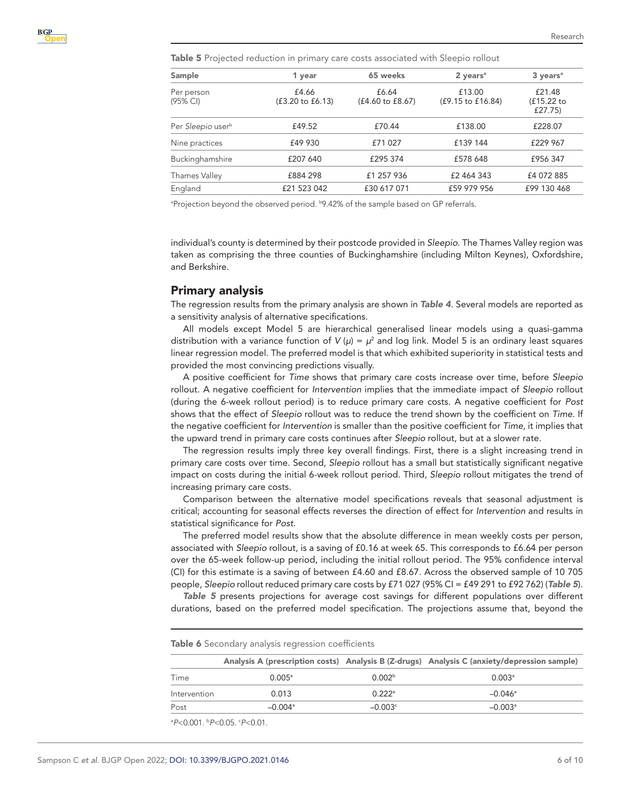<span id="page-5-0"></span>Table 5 Projected reduction in primary care costs associated with Sleepio rollout

| Sample                        | 1 year                               | 65 weeks                             | $2$ years <sup>a</sup>      | $3 \text{ years}^a$             |  |
|-------------------------------|--------------------------------------|--------------------------------------|-----------------------------|---------------------------------|--|
| Per person<br>(95% CI)        | £4.66<br>$(f3.20 \text{ to } f6.13)$ | £6.64<br>$(f4.60 \text{ to } f8.67)$ | £13.00<br>(£9.15 to £16.84) | £21.48<br>(£15.22 to<br>£27.75) |  |
| Per Sleepio user <sup>b</sup> | £49.52                               | £70.44                               | £138.00                     | £228.07                         |  |
| Nine practices                | £49 930                              | £71 027                              | £139 144                    | £229 967                        |  |
| Buckinghamshire               | £207 640                             | £295 374                             | £578 648                    | £956 347                        |  |
| Thames Valley                 | £884 298                             | £1 257 936                           | £2 464 343                  | £4 072 885                      |  |
| England                       | £21 523 042                          | £30 617 071                          | £59 979 956                 | £99 130 468                     |  |

<sup>a</sup>Projection beyond the observed period. **b9.42%** of the sample based on GP referrals.

individual's county is determined by their postcode provided in *Sleepio*. The Thames Valley region was taken as comprising the three counties of Buckinghamshire (including Milton Keynes), Oxfordshire, and Berkshire.

#### Primary analysis

The regression results from the primary analysis are shown in *[Table 4](#page-4-1)*. Several models are reported as a sensitivity analysis of alternative specifications.

All models except Model 5 are hierarchical generalised linear models using a quasi-gamma distribution with a variance function of  $V(\mu) = \mu^2$  and log link. Model 5 is an ordinary least squares linear regression model. The preferred model is that which exhibited superiority in statistical tests and provided the most convincing predictions visually.

A positive coefficient for *Time* shows that primary care costs increase over time, before *Sleepio* rollout. A negative coefficient for *Intervention* implies that the immediate impact of *Sleepio* rollout (during the 6-week rollout period) is to reduce primary care costs. A negative coefficient for *Post* shows that the effect of *Sleepio* rollout was to reduce the trend shown by the coefficient on *Time*. If the negative coefficient for *Intervention* is smaller than the positive coefficient for *Time*, it implies that the upward trend in primary care costs continues after *Sleepio* rollout, but at a slower rate.

The regression results imply three key overall findings. First, there is a slight increasing trend in primary care costs over time. Second, *Sleepio* rollout has a small but statistically significant negative impact on costs during the initial 6-week rollout period. Third, *Sleepio* rollout mitigates the trend of increasing primary care costs.

Comparison between the alternative model specifications reveals that seasonal adjustment is critical; accounting for seasonal effects reverses the direction of effect for *Intervention* and results in statistical significance for *Post*.

The preferred model results show that the absolute difference in mean weekly costs per person, associated with *Sleepio* rollout, is a saving of £0.16 at week 65. This corresponds to £6.64 per person over the 65-week follow-up period, including the initial rollout period. The 95% confidence interval (CI) for this estimate is a saving of between £4.60 and £8.67. Across the observed sample of 10 705 people, *Sleepio* rollout reduced primary care costs by £71 027 (95% CI = £49 291 to £92 762) (*[Table 5](#page-5-0)*).

*[Table 5](#page-5-0)* presents projections for average cost savings for different populations over different durations, based on the preferred model specification. The projections assume that, beyond the

<span id="page-5-1"></span>Table 6 Secondary analysis regression coefficients

|              |                       |                      | Analysis A (prescription costs) Analysis B (Z-drugs) Analysis C (anxiety/depression sample) |
|--------------|-----------------------|----------------------|---------------------------------------------------------------------------------------------|
| Time         | $0.005^{\circ}$       | 0.002 <sup>b</sup>   | $0.003$ <sup>a</sup>                                                                        |
| Intervention | 0.013                 | $0.222$ <sup>a</sup> | $-0.046^{\circ}$                                                                            |
| Post         | $-0.004$ <sup>a</sup> | $-0.003c$            | $-0.003a$                                                                                   |

a *P*<0.001. b *P*<0.05. c *P*<0.01.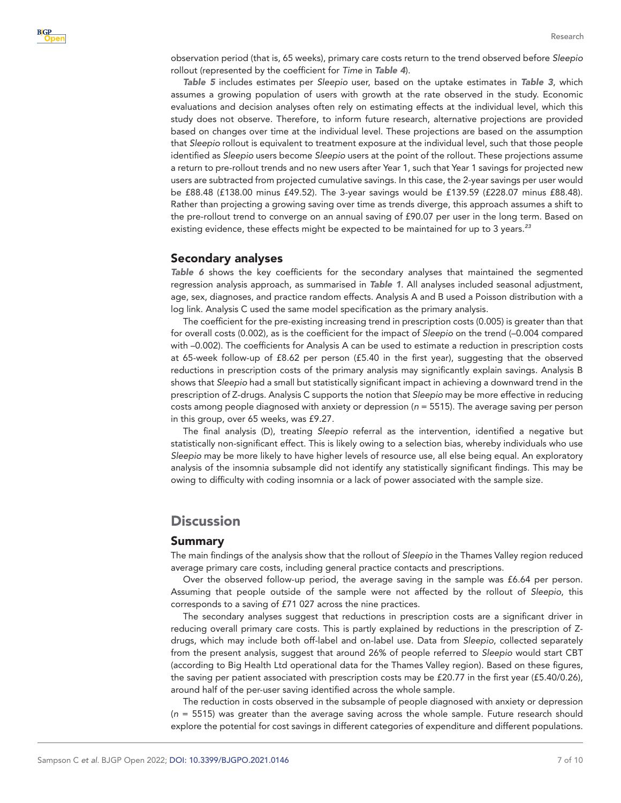observation period (that is, 65 weeks), primary care costs return to the trend observed before *Sleepio* rollout (represented by the coefficient for *Time* in *[Table 4](#page-4-1)*).

*[Table 5](#page-5-0)* includes estimates per *Sleepio* user, based on the uptake estimates in *[Table 3](#page-4-0)*, which assumes a growing population of users with growth at the rate observed in the study. Economic evaluations and decision analyses often rely on estimating effects at the individual level, which this study does not observe. Therefore, to inform future research, alternative projections are provided based on changes over time at the individual level. These projections are based on the assumption that *Sleepio* rollout is equivalent to treatment exposure at the individual level, such that those people identified as *Sleepio* users become *Sleepio* users at the point of the rollout. These projections assume a return to pre-rollout trends and no new users after Year 1, such that Year 1 savings for projected new users are subtracted from projected cumulative savings. In this case, the 2-year savings per user would be £88.48 (£138.00 minus £49.52). The 3-year savings would be £139.59 (£228.07 minus £88.48). Rather than projecting a growing saving over time as trends diverge, this approach assumes a shift to the pre-rollout trend to converge on an annual saving of £90.07 per user in the long term. Based on existing evidence, these effects might be expected to be maintained for up to 3 years.*[23](#page-9-14)*

## Secondary analyses

*[Table 6](#page-5-1)* shows the key coefficients for the secondary analyses that maintained the segmented regression analysis approach, as summarised in *[Table 1](#page-3-0)*. All analyses included seasonal adjustment, age, sex, diagnoses, and practice random effects. Analysis A and B used a Poisson distribution with a log link. Analysis C used the same model specification as the primary analysis.

The coefficient for the pre-existing increasing trend in prescription costs (0.005) is greater than that for overall costs (0.002), as is the coefficient for the impact of *Sleepio* on the trend (–0.004 compared with –0.002). The coefficients for Analysis A can be used to estimate a reduction in prescription costs at 65-week follow-up of £8.62 per person (£5.40 in the first year), suggesting that the observed reductions in prescription costs of the primary analysis may significantly explain savings. Analysis B shows that *Sleepio* had a small but statistically significant impact in achieving a downward trend in the prescription of Z-drugs. Analysis C supports the notion that *Sleepio* may be more effective in reducing costs among people diagnosed with anxiety or depression (*n* = 5515). The average saving per person in this group, over 65 weeks, was £9.27.

The final analysis (D), treating *Sleepio* referral as the intervention, identified a negative but statistically non-significant effect. This is likely owing to a selection bias, whereby individuals who use *Sleepio* may be more likely to have higher levels of resource use, all else being equal. An exploratory analysis of the insomnia subsample did not identify any statistically significant findings. This may be owing to difficulty with coding insomnia or a lack of power associated with the sample size.

# **Discussion**

#### Summary

The main findings of the analysis show that the rollout of *Sleepio* in the Thames Valley region reduced average primary care costs, including general practice contacts and prescriptions.

Over the observed follow-up period, the average saving in the sample was £6.64 per person. Assuming that people outside of the sample were not affected by the rollout of *Sleepio*, this corresponds to a saving of £71 027 across the nine practices.

The secondary analyses suggest that reductions in prescription costs are a significant driver in reducing overall primary care costs. This is partly explained by reductions in the prescription of Zdrugs, which may include both off-label and on-label use. Data from *Sleepio*, collected separately from the present analysis, suggest that around 26% of people referred to *Sleepio* would start CBT (according to Big Health Ltd operational data for the Thames Valley region). Based on these figures, the saving per patient associated with prescription costs may be £20.77 in the first year (£5.40/0.26), around half of the per-user saving identified across the whole sample.

The reduction in costs observed in the subsample of people diagnosed with anxiety or depression (*n* = 5515) was greater than the average saving across the whole sample. Future research should explore the potential for cost savings in different categories of expenditure and different populations.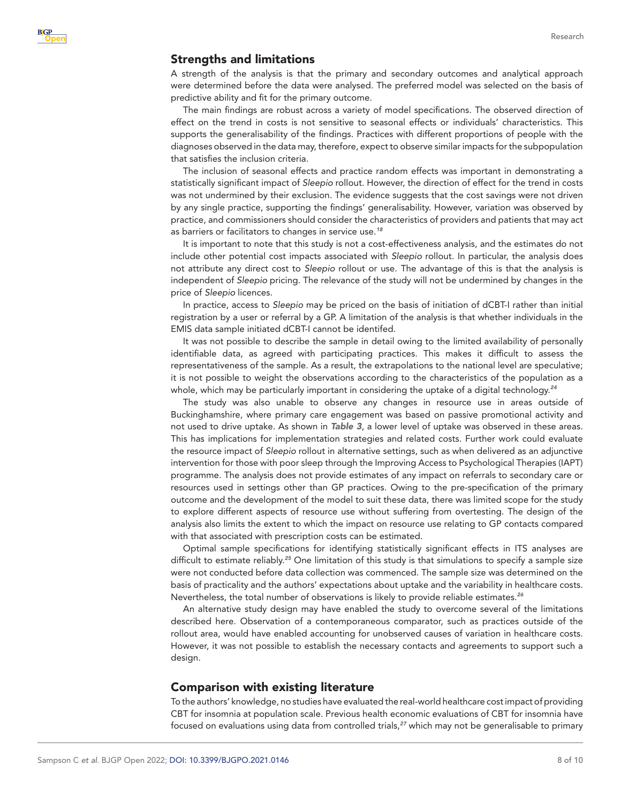## Strengths and limitations

A strength of the analysis is that the primary and secondary outcomes and analytical approach were determined before the data were analysed. The preferred model was selected on the basis of predictive ability and fit for the primary outcome.

The main findings are robust across a variety of model specifications. The observed direction of effect on the trend in costs is not sensitive to seasonal effects or individuals' characteristics. This supports the generalisability of the findings. Practices with different proportions of people with the diagnoses observed in the data may, therefore, expect to observe similar impacts for the subpopulation that satisfies the inclusion criteria.

The inclusion of seasonal effects and practice random effects was important in demonstrating a statistically significant impact of *Sleepio* rollout. However, the direction of effect for the trend in costs was not undermined by their exclusion. The evidence suggests that the cost savings were not driven by any single practice, supporting the findings' generalisability. However, variation was observed by practice, and commissioners should consider the characteristics of providers and patients that may act as barriers or facilitators to changes in service use.*[18](#page-9-10)*

It is important to note that this study is not a cost-effectiveness analysis, and the estimates do not include other potential cost impacts associated with *Sleepio* rollout. In particular, the analysis does not attribute any direct cost to *Sleepio* rollout or use. The advantage of this is that the analysis is independent of *Sleepio* pricing. The relevance of the study will not be undermined by changes in the price of *Sleepio* licences.

In practice, access to *Sleepio* may be priced on the basis of initiation of dCBT-I rather than initial registration by a user or referral by a GP. A limitation of the analysis is that whether individuals in the EMIS data sample initiated dCBT-I cannot be identifed.

It was not possible to describe the sample in detail owing to the limited availability of personally identifiable data, as agreed with participating practices. This makes it difficult to assess the representativeness of the sample. As a result, the extrapolations to the national level are speculative; it is not possible to weight the observations according to the characteristics of the population as a whole, which may be particularly important in considering the uptake of a digital technology.*[24](#page-9-15)*

The study was also unable to observe any changes in resource use in areas outside of Buckinghamshire, where primary care engagement was based on passive promotional activity and not used to drive uptake. As shown in *[Table 3](#page-4-0)*, a lower level of uptake was observed in these areas. This has implications for implementation strategies and related costs. Further work could evaluate the resource impact of *Sleepio* rollout in alternative settings, such as when delivered as an adjunctive intervention for those with poor sleep through the Improving Access to Psychological Therapies (IAPT) programme. The analysis does not provide estimates of any impact on referrals to secondary care or resources used in settings other than GP practices. Owing to the pre-specification of the primary outcome and the development of the model to suit these data, there was limited scope for the study to explore different aspects of resource use without suffering from overtesting. The design of the analysis also limits the extent to which the impact on resource use relating to GP contacts compared with that associated with prescription costs can be estimated.

Optimal sample specifications for identifying statistically significant effects in ITS analyses are difficult to estimate reliably.*[25](#page-9-16)* One limitation of this study is that simulations to specify a sample size were not conducted before data collection was commenced. The sample size was determined on the basis of practicality and the authors' expectations about uptake and the variability in healthcare costs. Nevertheless, the total number of observations is likely to provide reliable estimates.*[26](#page-9-17)*

An alternative study design may have enabled the study to overcome several of the limitations described here. Observation of a contemporaneous comparator, such as practices outside of the rollout area, would have enabled accounting for unobserved causes of variation in healthcare costs. However, it was not possible to establish the necessary contacts and agreements to support such a design.

#### Comparison with existing literature

To the authors' knowledge, no studies have evaluated the real-world healthcare cost impact of providing CBT for insomnia at population scale. Previous health economic evaluations of CBT for insomnia have focused on evaluations using data from controlled trials,*[27](#page-9-18)* which may not be generalisable to primary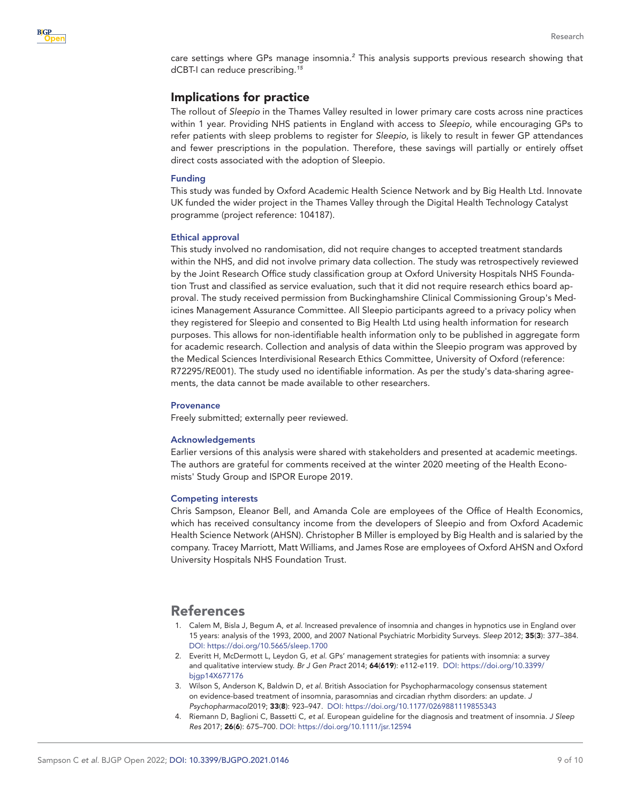care settings where GPs manage insomnia.<sup>[2](#page-8-2)</sup> This analysis supports previous research showing that dCBT-I can reduce prescribing.*[15](#page-9-7)*

## Implications for practice

The rollout of *Sleepio* in the Thames Valley resulted in lower primary care costs across nine practices within 1 year. Providing NHS patients in England with access to *Sleepio*, while encouraging GPs to refer patients with sleep problems to register for *Sleepio*, is likely to result in fewer GP attendances and fewer prescriptions in the population. Therefore, these savings will partially or entirely offset direct costs associated with the adoption of Sleepio.

#### Funding

This study was funded by Oxford Academic Health Science Network and by Big Health Ltd. Innovate UK funded the wider project in the Thames Valley through the Digital Health Technology Catalyst programme (project reference: 104187).

#### Ethical approval

This study involved no randomisation, did not require changes to accepted treatment standards within the NHS, and did not involve primary data collection. The study was retrospectively reviewed by the Joint Research Office study classification group at Oxford University Hospitals NHS Foundation Trust and classified as service evaluation, such that it did not require research ethics board approval. The study received permission from Buckinghamshire Clinical Commissioning Group's Medicines Management Assurance Committee. All Sleepio participants agreed to a privacy policy when they registered for Sleepio and consented to Big Health Ltd using health information for research purposes. This allows for non-identifiable health information only to be published in aggregate form for academic research. Collection and analysis of data within the Sleepio program was approved by the Medical Sciences Interdivisional Research Ethics Committee, University of Oxford (reference: R72295/RE001). The study used no identifiable information. As per the study's data-sharing agreements, the data cannot be made available to other researchers.

#### **Provenance**

Freely submitted; externally peer reviewed.

#### Acknowledgements

Earlier versions of this analysis were shared with stakeholders and presented at academic meetings. The authors are grateful for comments received at the winter 2020 meeting of the Health Economists' Study Group and ISPOR Europe 2019.

#### <span id="page-8-0"></span>Competing interests

Chris Sampson, Eleanor Bell, and Amanda Cole are employees of the Office of Health Economics, which has received consultancy income from the developers of Sleepio and from Oxford Academic Health Science Network (AHSN). Christopher B Miller is employed by Big Health and is salaried by the company. Tracey Marriott, Matt Williams, and James Rose are employees of Oxford AHSN and Oxford University Hospitals NHS Foundation Trust.

# References

- <span id="page-8-1"></span>1. Calem M, Bisla J, Begum A, *et al*. Increased prevalence of insomnia and changes in hypnotics use in England over 15 years: analysis of the 1993, 2000, and 2007 National Psychiatric Morbidity Surveys. *Sleep* 2012; 35(3): 377–384. DOI:<https://doi.org/10.5665/sleep.1700>
- <span id="page-8-2"></span>2. Everitt H, McDermott L, Leydon G, *et al*. GPs' management strategies for patients with insomnia: a survey and qualitative interview study. *Br J Gen Pract* 2014; 64(619): e112-e119. DOI: [https://doi.org/10.3399/](https://doi.org/10.3399/bjgp14X677176) [bjgp14X677176](https://doi.org/10.3399/bjgp14X677176)
- <span id="page-8-3"></span>3. Wilson S, Anderson K, Baldwin D, *et al*. British Association for Psychopharmacology consensus statement on evidence-based treatment of insomnia, parasomnias and circadian rhythm disorders: an update. *J Psychopharmacol*2019; 33(8): 923–947. DOI: <https://doi.org/10.1177/0269881119855343>
- <span id="page-8-4"></span>4. Riemann D, Baglioni C, Bassetti C, *et al*. European guideline for the diagnosis and treatment of insomnia. *J Sleep Res* 2017; 26(6): 675–700. DOI: <https://doi.org/10.1111/jsr.12594>